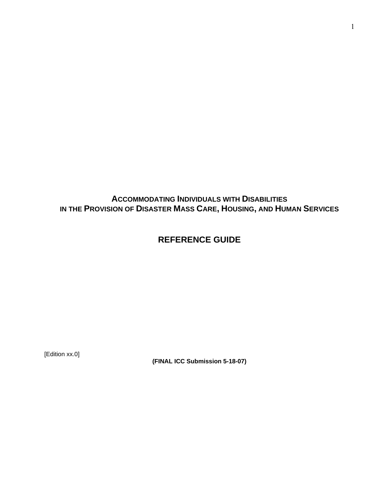# **ACCOMMODATING INDIVIDUALS WITH DISABILITIES IN THE PROVISION OF DISASTER MASS CARE, HOUSING, AND HUMAN SERVICES**

# **REFERENCE GUIDE**

[Edition xx.0]

**(FINAL ICC Submission 5-18-07)**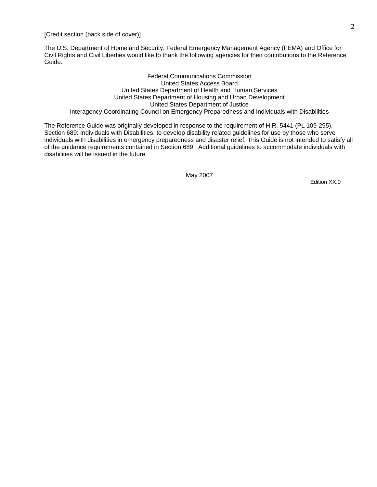[Credit section (back side of cover)]

The U.S. Department of Homeland Security, Federal Emergency Management Agency (FEMA) and Office for Civil Rights and Civil Liberties would like to thank the following agencies for their contributions to the Reference Guide:

Federal Communications Commission United States Access Board United States Department of Health and Human Services United States Department of Housing and Urban Development United States Department of Justice Interagency Coordinating Council on Emergency Preparedness and Individuals with Disabilities

The Reference Guide was originally developed in response to the requirement of H.R. 5441 (PL 109-295), Section 689: Individuals with Disabilities, to develop disability related guidelines for use by those who serve individuals with disabilities in emergency preparedness and disaster relief. This Guide is not intended to satisfy all of the guidance requirements contained in Section 689. Additional guidelines to accommodate individuals with disabilities will be issued in the future.

May 2007

Edition XX.0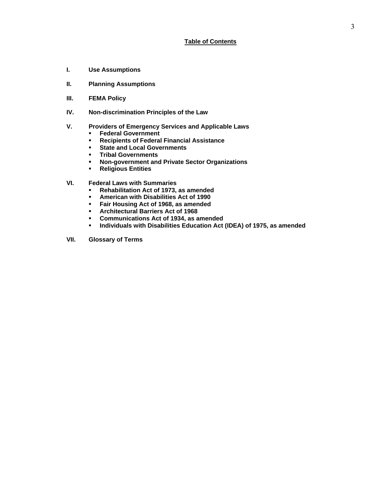#### **Table of Contents**

- **I. Use Assumptions**
- **II. Planning Assumptions**
- **III. FEMA Policy**
- **IV. Non-discrimination Principles of the Law**

# **V. Providers of Emergency Services and Applicable Laws**

- **Federal Government**
- **Recipients of Federal Financial Assistance**
- **State and Local Governments**
- **Tribal Governments**
- **Non-government and Private Sector Organizations**
- **Religious Entities**
- **VI. Federal Laws with Summaries** 
	- **Rehabilitation Act of 1973, as amended**
	- **American with Disabilities Act of 1990**
	- **Fair Housing Act of 1968, as amended**
	- **Architectural Barriers Act of 1968**
	- **Communications Act of 1934, as amended**
	- **Individuals with Disabilities Education Act (IDEA) of 1975, as amended**
- **VII. Glossary of Terms**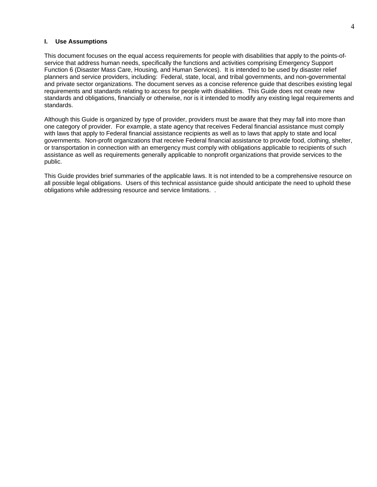#### **I. Use Assumptions**

This document focuses on the equal access requirements for people with disabilities that apply to the points-ofservice that address human needs, specifically the functions and activities comprising Emergency Support Function 6 (Disaster Mass Care, Housing, and Human Services). It is intended to be used by disaster relief planners and service providers, including: Federal, state, local, and tribal governments, and non-governmental and private sector organizations. The document serves as a concise reference guide that describes existing legal requirements and standards relating to access for people with disabilities. This Guide does not create new standards and obligations, financially or otherwise, nor is it intended to modify any existing legal requirements and standards.

Although this Guide is organized by type of provider, providers must be aware that they may fall into more than one category of provider. For example, a state agency that receives Federal financial assistance must comply with laws that apply to Federal financial assistance recipients as well as to laws that apply to state and local governments. Non-profit organizations that receive Federal financial assistance to provide food, clothing, shelter, or transportation in connection with an emergency must comply with obligations applicable to recipients of such assistance as well as requirements generally applicable to nonprofit organizations that provide services to the public.

This Guide provides brief summaries of the applicable laws. It is not intended to be a comprehensive resource on all possible legal obligations. Users of this technical assistance guide should anticipate the need to uphold these obligations while addressing resource and service limitations. .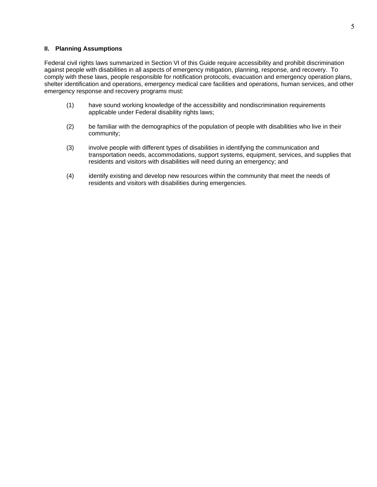### **II. Planning Assumptions**

Federal civil rights laws summarized in Section VI of this Guide require accessibility and prohibit discrimination against people with disabilities in all aspects of emergency mitigation, planning, response, and recovery. To comply with these laws, people responsible for notification protocols, evacuation and emergency operation plans, shelter identification and operations, emergency medical care facilities and operations, human services, and other emergency response and recovery programs must:

- (1) have sound working knowledge of the accessibility and nondiscrimination requirements applicable under Federal disability rights laws;
- (2) be familiar with the demographics of the population of people with disabilities who live in their community;
- (3) involve people with different types of disabilities in identifying the communication and transportation needs, accommodations, support systems, equipment, services, and supplies that residents and visitors with disabilities will need during an emergency; and
- (4) identify existing and develop new resources within the community that meet the needs of residents and visitors with disabilities during emergencies.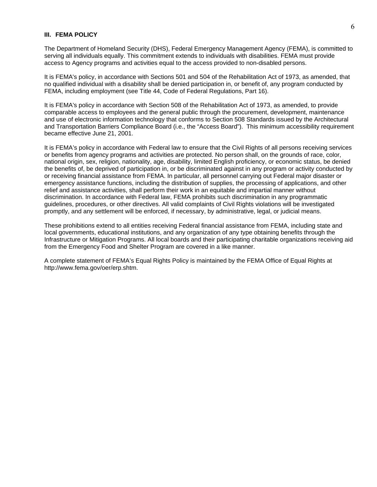#### **III. FEMA POLICY**

The Department of Homeland Security (DHS), Federal Emergency Management Agency (FEMA), is committed to serving all individuals equally. This commitment extends to individuals with disabilities. FEMA must provide access to Agency programs and activities equal to the access provided to non-disabled persons.

It is FEMA's policy, in accordance with Sections 501 and 504 of the Rehabilitation Act of 1973, as amended, that no qualified individual with a disability shall be denied participation in, or benefit of, any program conducted by FEMA, including employment (see Title 44, Code of Federal Regulations, Part 16).

It is FEMA's policy in accordance with Section 508 of the Rehabilitation Act of 1973, as amended, to provide comparable access to employees and the general public through the procurement, development, maintenance and use of electronic information technology that conforms to Section 508 Standards issued by the Architectural and Transportation Barriers Compliance Board (i.e., the "Access Board"). This minimum accessibility requirement became effective June 21, 2001.

It is FEMA's policy in accordance with Federal law to ensure that the Civil Rights of all persons receiving services or benefits from agency programs and activities are protected. No person shall, on the grounds of race, color, national origin, sex, religion, nationality, age, disability, limited English proficiency, or economic status, be denied the benefits of, be deprived of participation in, or be discriminated against in any program or activity conducted by or receiving financial assistance from FEMA. In particular, all personnel carrying out Federal major disaster or emergency assistance functions, including the distribution of supplies, the processing of applications, and other relief and assistance activities, shall perform their work in an equitable and impartial manner without discrimination. In accordance with Federal law, FEMA prohibits such discrimination in any programmatic guidelines, procedures, or other directives. All valid complaints of Civil Rights violations will be investigated promptly, and any settlement will be enforced, if necessary, by administrative, legal, or judicial means.

These prohibitions extend to all entities receiving Federal financial assistance from FEMA, including state and local governments, educational institutions, and any organization of any type obtaining benefits through the Infrastructure or Mitigation Programs. All local boards and their participating charitable organizations receiving aid from the Emergency Food and Shelter Program are covered in a like manner.

A complete statement of FEMA's Equal Rights Policy is maintained by the FEMA Office of Equal Rights at http://www.fema.gov/oer/erp.shtm.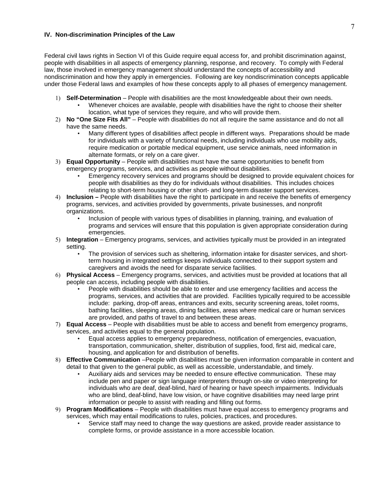#### **IV. Non-discrimination Principles of the Law**

Federal civil laws rights in Section VI of this Guide require equal access for, and prohibit discrimination against, people with disabilities in all aspects of emergency planning, response, and recovery. To comply with Federal law, those involved in emergency management should understand the concepts of accessibility and nondiscrimination and how they apply in emergencies. Following are key nondiscrimination concepts applicable under those Federal laws and examples of how these concepts apply to all phases of emergency management.

- 1) **Self-Determination** People with disabilities are the most knowledgeable about their own needs.
	- Whenever choices are available, people with disabilities have the right to choose their shelter location, what type of services they require, and who will provide them.
- 2) **No "One Size Fits All"**  People with disabilities do not all require the same assistance and do not all have the same needs.
	- Many different types of disabilities affect people in different ways. Preparations should be made for individuals with a variety of functional needs, including individuals who use mobility aids, require medication or portable medical equipment, use service animals, need information in alternate formats, or rely on a care giver.
- 3) **Equal Opportunity**  People with disabilities must have the same opportunities to benefit from emergency programs, services, and activities as people without disabilities.
	- Emergency recovery services and programs should be designed to provide equivalent choices for people with disabilities as they do for individuals without disabilities. This includes choices relating to short-term housing or other short- and long-term disaster support services.
- 4) **Inclusion –** People with disabilities have the right to participate in and receive the benefits of emergency programs, services, and activities provided by governments, private businesses, and nonprofit organizations.
	- Inclusion of people with various types of disabilities in planning, training, and evaluation of programs and services will ensure that this population is given appropriate consideration during emergencies.
- 5) **Integration** Emergency programs, services, and activities typically must be provided in an integrated setting.
	- The provision of services such as sheltering, information intake for disaster services, and shortterm housing in integrated settings keeps individuals connected to their support system and caregivers and avoids the need for disparate service facilities.
- 6) **Physical Access** Emergency programs, services, and activities must be provided at locations that all people can access, including people with disabilities.
	- People with disabilities should be able to enter and use emergency facilities and access the programs, services, and activities that are provided. Facilities typically required to be accessible include: parking, drop-off areas, entrances and exits, security screening areas, toilet rooms, bathing facilities, sleeping areas, dining facilities, areas where medical care or human services are provided, and paths of travel to and between these areas.
- 7) **Equal Access** People with disabilities must be able to access and benefit from emergency programs, services, and activities equal to the general population.
	- Equal access applies to emergency preparedness, notification of emergencies, evacuation, transportation, communication, shelter, distribution of supplies, food, first aid, medical care, housing, and application for and distribution of benefits.
- 8) **Effective Communication** –People with disabilities must be given information comparable in content and detail to that given to the general public, as well as accessible, understandable, and timely.
	- Auxiliary aids and services may be needed to ensure effective communication. These may include pen and paper or sign language interpreters through on-site or video interpreting for individuals who are deaf, deaf-blind, hard of hearing or have speech impairments. Individuals who are blind, deaf-blind, have low vision, or have cognitive disabilities may need large print information or people to assist with reading and filling out forms.
- 9) **Program Modifications**  People with disabilities must have equal access to emergency programs and services, which may entail modifications to rules, policies, practices, and procedures.
	- Service staff may need to change the way questions are asked, provide reader assistance to complete forms, or provide assistance in a more accessible location.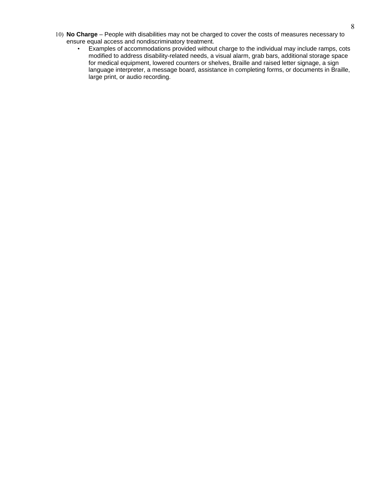- 10) **No Charge** People with disabilities may not be charged to cover the costs of measures necessary to ensure equal access and nondiscriminatory treatment.
	- Examples of accommodations provided without charge to the individual may include ramps, cots modified to address disability-related needs, a visual alarm, grab bars, additional storage space for medical equipment, lowered counters or shelves, Braille and raised letter signage, a sign language interpreter, a message board, assistance in completing forms, or documents in Braille, large print, or audio recording.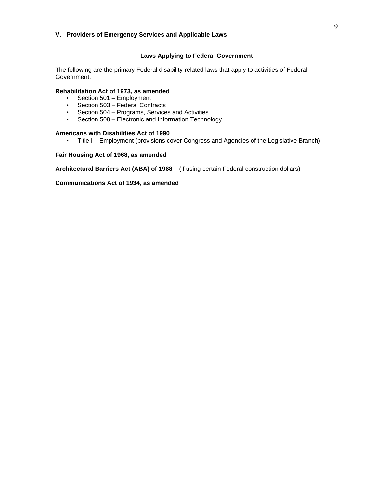#### **V. Providers of Emergency Services and Applicable Laws**

#### **Laws Applying to Federal Government**

The following are the primary Federal disability-related laws that apply to activities of Federal Government.

### **Rehabilitation Act of 1973, as amended**

- Section 501 Employment
- Section 503 Federal Contracts
- Section 504 Programs, Services and Activities
- Section 508 Electronic and Information Technology

#### **Americans with Disabilities Act of 1990**

• Title I – Employment (provisions cover Congress and Agencies of the Legislative Branch)

#### **Fair Housing Act of 1968, as amended**

**Architectural Barriers Act (ABA) of 1968 –** (if using certain Federal construction dollars)

#### **Communications Act of 1934, as amended**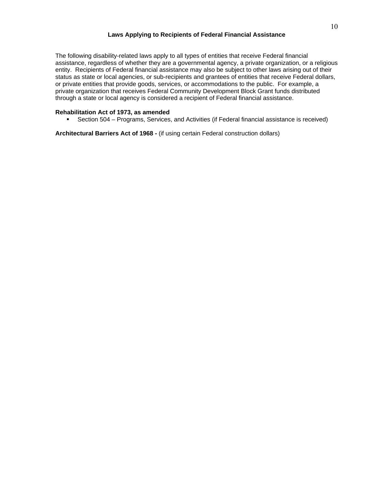# **Laws Applying to Recipients of Federal Financial Assistance**

The following disability-related laws apply to all types of entities that receive Federal financial assistance, regardless of whether they are a governmental agency, a private organization, or a religious entity. Recipients of Federal financial assistance may also be subject to other laws arising out of their status as state or local agencies, or sub-recipients and grantees of entities that receive Federal dollars, or private entities that provide goods, services, or accommodations to the public. For example, a private organization that receives Federal Community Development Block Grant funds distributed through a state or local agency is considered a recipient of Federal financial assistance.

#### **Rehabilitation Act of 1973, as amended**

Section 504 – Programs, Services, and Activities (if Federal financial assistance is received)

**Architectural Barriers Act of 1968 -** (if using certain Federal construction dollars)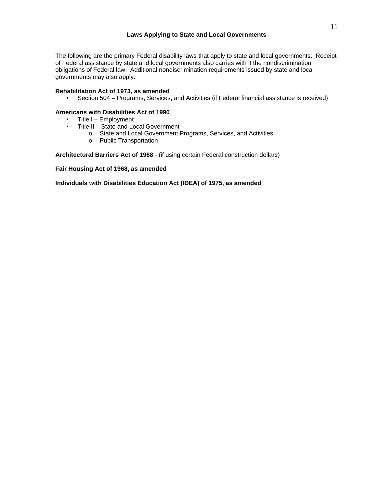## **Laws Applying to State and Local Governments**

The following are the primary Federal disability laws that apply to state and local governments. Receipt of Federal assistance by state and local governments also carries with it the nondiscrimination obligations of Federal law. Additional nondiscrimination requirements issued by state and local governments may also apply.

#### **Rehabilitation Act of 1973, as amended**

• Section 504 – Programs, Services, and Activities (if Federal financial assistance is received)

### **Americans with Disabilities Act of 1990**

- Title I Employment
- Title II State and Local Government
	- o State and Local Government Programs, Services, and Activities
	- o Public Transportation

**Architectural Barriers Act of 1968** - (if using certain Federal construction dollars)

**Fair Housing Act of 1968, as amended** 

**Individuals with Disabilities Education Act (IDEA) of 1975, as amended**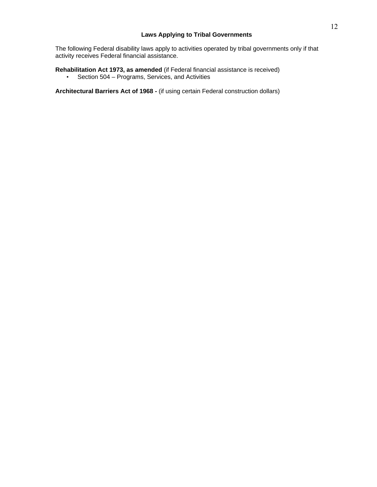#### **Laws Applying to Tribal Governments**

The following Federal disability laws apply to activities operated by tribal governments only if that activity receives Federal financial assistance.

**Rehabilitation Act 1973, as amended** (if Federal financial assistance is received) • Section 504 – Programs, Services, and Activities

**Architectural Barriers Act of 1968 -** (if using certain Federal construction dollars)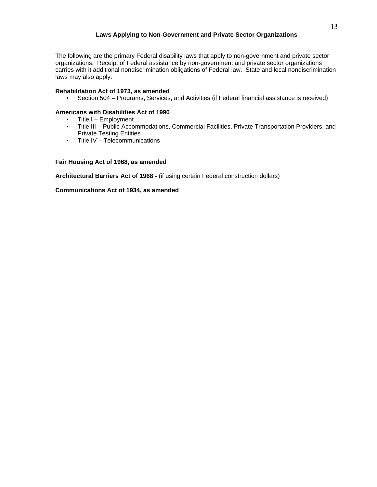## **Laws Applying to Non-Government and Private Sector Organizations**

The following are the primary Federal disability laws that apply to non-government and private sector organizations. Receipt of Federal assistance by non-government and private sector organizations carries with it additional nondiscrimination obligations of Federal law. State and local nondiscrimination laws may also apply.

#### **Rehabilitation Act of 1973, as amended**

• Section 504 – Programs, Services, and Activities (if Federal financial assistance is received)

### **Americans with Disabilities Act of 1990**

- Title I Employment<br>• Title III Public Accor
- Title III Public Accommodations, Commercial Facilities, Private Transportation Providers, and Private Testing Entities
- Title IV Telecommunications

## **Fair Housing Act of 1968, as amended**

**Architectural Barriers Act of 1968 -** (if using certain Federal construction dollars)

**Communications Act of 1934, as amended**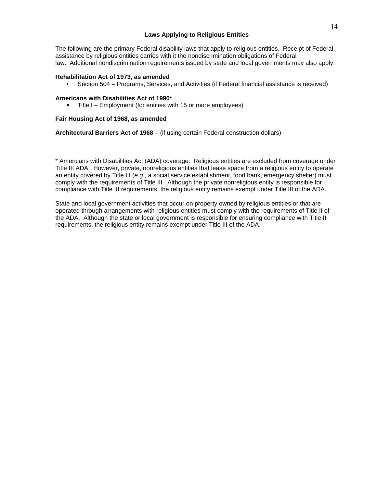## **Laws Applying to Religious Entities**

The following are the primary Federal disability laws that apply to religious entities. Receipt of Federal assistance by religious entities carries with it the nondiscrimination obligations of Federal law. Additional nondiscrimination requirements issued by state and local governments may also apply.

#### **Rehabilitation Act of 1973, as amended**

• Section 504 – Programs, Services, and Activities (if Federal financial assistance is received)

### **Americans with Disabilities Act of 1990\***

**Title I – Employment (for entities with 15 or more employees)** 

### **Fair Housing Act of 1968, as amended**

**Architectural Barriers Act of 1968** – (if using certain Federal construction dollars)

\* Americans with Disabilities Act (ADA) coverage: Religious entities are excluded from coverage under Title III ADA. However, private, nonreligious entities that lease space from a religious entity to operate an entity covered by Title III (*e.g.*, a social service establishment, food bank, emergency shelter) must comply with the requirements of Title III. Although the private nonreligious entity is responsible for compliance with Title III requirements, the religious entity remains exempt under Title III of the ADA.

State and local government activities that occur on property owned by religious entities or that are operated through arrangements with religious entities must comply with the requirements of Title II of the ADA. Although the state or local government is responsible for ensuring compliance with Title II requirements, the religious entity remains exempt under Title III of the ADA.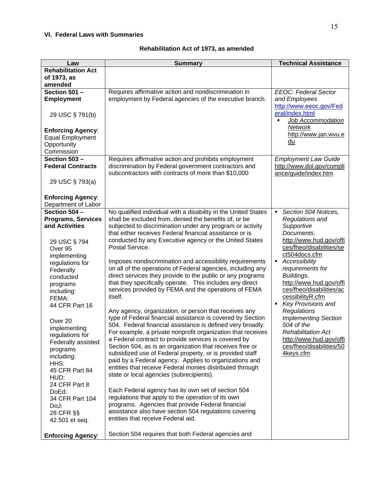## **VI. Federal Laws with Summaries**

| Law                                                                                                                                                                                                                                                                                                                                                                                                                                      | <b>Summary</b>                                                                                                                                                                                                                                                                                                                                                                                                                                                                                                                                                                                                                                                                                                                                                                                                                                                                                                                                                                                                                                                                                                                                                                                                                                                                                                                                                                                                                                                                                                             | <b>Technical Assistance</b>                                                                                                                                                                                                                                                                                                                                                                                                                                                           |
|------------------------------------------------------------------------------------------------------------------------------------------------------------------------------------------------------------------------------------------------------------------------------------------------------------------------------------------------------------------------------------------------------------------------------------------|----------------------------------------------------------------------------------------------------------------------------------------------------------------------------------------------------------------------------------------------------------------------------------------------------------------------------------------------------------------------------------------------------------------------------------------------------------------------------------------------------------------------------------------------------------------------------------------------------------------------------------------------------------------------------------------------------------------------------------------------------------------------------------------------------------------------------------------------------------------------------------------------------------------------------------------------------------------------------------------------------------------------------------------------------------------------------------------------------------------------------------------------------------------------------------------------------------------------------------------------------------------------------------------------------------------------------------------------------------------------------------------------------------------------------------------------------------------------------------------------------------------------------|---------------------------------------------------------------------------------------------------------------------------------------------------------------------------------------------------------------------------------------------------------------------------------------------------------------------------------------------------------------------------------------------------------------------------------------------------------------------------------------|
| <b>Rehabilitation Act</b>                                                                                                                                                                                                                                                                                                                                                                                                                |                                                                                                                                                                                                                                                                                                                                                                                                                                                                                                                                                                                                                                                                                                                                                                                                                                                                                                                                                                                                                                                                                                                                                                                                                                                                                                                                                                                                                                                                                                                            |                                                                                                                                                                                                                                                                                                                                                                                                                                                                                       |
| of 1973, as<br>amended                                                                                                                                                                                                                                                                                                                                                                                                                   |                                                                                                                                                                                                                                                                                                                                                                                                                                                                                                                                                                                                                                                                                                                                                                                                                                                                                                                                                                                                                                                                                                                                                                                                                                                                                                                                                                                                                                                                                                                            |                                                                                                                                                                                                                                                                                                                                                                                                                                                                                       |
| Section 501 -<br><b>Employment</b><br>29 USC § 791(b)<br><b>Enforcing Agency:</b><br><b>Equal Employment</b><br>Opportunity<br>Commission                                                                                                                                                                                                                                                                                                | Requires affirmative action and nondiscrimination in<br>employment by Federal agencies of the executive branch.                                                                                                                                                                                                                                                                                                                                                                                                                                                                                                                                                                                                                                                                                                                                                                                                                                                                                                                                                                                                                                                                                                                                                                                                                                                                                                                                                                                                            | <b>EEOC: Federal Sector</b><br>and Employees<br>http://www.eeoc.gov/Fed<br>eral/index.html<br>Job Accommodation<br>Network<br>http://www.jan.wvu.e<br>du                                                                                                                                                                                                                                                                                                                              |
| Section 503 -<br><b>Federal Contracts</b><br>29 USC § 793(a)                                                                                                                                                                                                                                                                                                                                                                             | Requires affirmative action and prohibits employment<br>discrimination by Federal government contractors and<br>subcontractors with contracts of more than \$10,000                                                                                                                                                                                                                                                                                                                                                                                                                                                                                                                                                                                                                                                                                                                                                                                                                                                                                                                                                                                                                                                                                                                                                                                                                                                                                                                                                        | <b>Employment Law Guide</b><br>http://www.dol.gov/compli<br>ance/guide/index.htm                                                                                                                                                                                                                                                                                                                                                                                                      |
| <b>Enforcing Agency:</b><br>Department of Labor                                                                                                                                                                                                                                                                                                                                                                                          |                                                                                                                                                                                                                                                                                                                                                                                                                                                                                                                                                                                                                                                                                                                                                                                                                                                                                                                                                                                                                                                                                                                                                                                                                                                                                                                                                                                                                                                                                                                            |                                                                                                                                                                                                                                                                                                                                                                                                                                                                                       |
| Section 504 -<br><b>Programs, Services</b><br>and Activities<br>29 USC § 794<br>Over 95<br>implementing<br>regulations for<br>Federally<br>conducted<br>programs<br>including:<br>FEMA:<br>44 CFR Part 16<br>Over <sub>20</sub><br>implementing<br>regulations for<br>Federally assisted<br>programs<br>including:<br>HHS:<br>45 CFR Part 84<br>HUD:<br>24 CFR Part 8<br>DoEd:<br>34 CFR Part 104<br>DoJ:<br>28 CFR §§<br>42.501 et seq. | No qualified individual with a disability in the United States<br>shall be excluded from, denied the benefits of, or be<br>subjected to discrimination under any program or activity<br>that either receives Federal financial assistance or is<br>conducted by any Executive agency or the United States<br>Postal Service.<br>Imposes nondiscrimination and accessibility requirements<br>on all of the operations of Federal agencies, including any<br>direct services they provide to the public or any programs<br>that they specifically operate. This includes any direct<br>services provided by FEMA and the operations of FEMA<br>itself.<br>Any agency, organization, or person that receives any<br>type of Federal financial assistance is covered by Section<br>504. Federal financial assistance is defined very broadly.<br>For example, a private nonprofit organization that receives<br>a Federal contract to provide services is covered by<br>Section 504, as is an organization that receives free or<br>subsidized use of Federal property, or is provided staff<br>paid by a Federal agency. Applies to organizations and<br>entities that receive Federal monies distributed through<br>state or local agencies (subrecipients).<br>Each Federal agency has its own set of section 504<br>regulations that apply to the operation of its own<br>programs. Agencies that provide Federal financial<br>assistance also have section 504 regulations covering<br>entities that receive Federal aid. | Section 504 Notices,<br>$\blacksquare$<br>Regulations and<br>Supportive<br>Documents.<br>http://www.hud.gov/offi<br>ces/fheo/disabilities/se<br>ct504docs.cfm<br>Accessibility<br>requirements for<br>Buildings.<br>http://www.hud.gov/offi<br>ces/fheo/disabilities/ac<br>cessibilityR.cfm<br><b>Key Provisions and</b><br>Regulations<br><b>Implementing Section</b><br>504 of the<br><b>Rehabilitation Act</b><br>http://www.hud.gov/offi<br>ces/fheo/disabilities/50<br>4keys.cfm |
| <b>Enforcing Agency:</b>                                                                                                                                                                                                                                                                                                                                                                                                                 | Section 504 requires that both Federal agencies and                                                                                                                                                                                                                                                                                                                                                                                                                                                                                                                                                                                                                                                                                                                                                                                                                                                                                                                                                                                                                                                                                                                                                                                                                                                                                                                                                                                                                                                                        |                                                                                                                                                                                                                                                                                                                                                                                                                                                                                       |

# **Rehabilitation Act of 1973, as amended**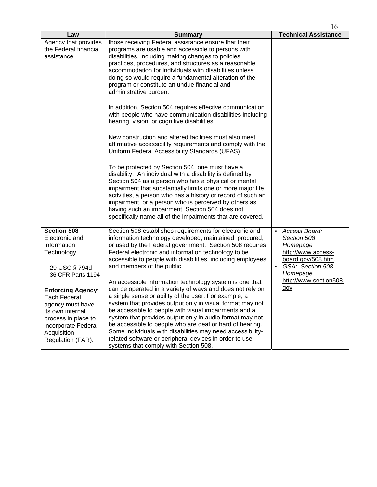| Law                                                                                                                                                                | <b>Summary</b>                                                                                                                                                                                                                                                                                                                                                                                                                                                                                                                                                                                                                                                                                                                                                                                                                                                                                                                                                                                                                                                                                                                                                                                                                                              | <b>Technical Assistance</b>                                                                                                  |
|--------------------------------------------------------------------------------------------------------------------------------------------------------------------|-------------------------------------------------------------------------------------------------------------------------------------------------------------------------------------------------------------------------------------------------------------------------------------------------------------------------------------------------------------------------------------------------------------------------------------------------------------------------------------------------------------------------------------------------------------------------------------------------------------------------------------------------------------------------------------------------------------------------------------------------------------------------------------------------------------------------------------------------------------------------------------------------------------------------------------------------------------------------------------------------------------------------------------------------------------------------------------------------------------------------------------------------------------------------------------------------------------------------------------------------------------|------------------------------------------------------------------------------------------------------------------------------|
| Agency that provides<br>the Federal financial<br>assistance                                                                                                        | those receiving Federal assistance ensure that their<br>programs are usable and accessible to persons with<br>disabilities, including making changes to policies,<br>practices, procedures, and structures as a reasonable<br>accommodation for individuals with disabilities unless<br>doing so would require a fundamental alteration of the<br>program or constitute an undue financial and<br>administrative burden.<br>In addition, Section 504 requires effective communication<br>with people who have communication disabilities including<br>hearing, vision, or cognitive disabilities.<br>New construction and altered facilities must also meet<br>affirmative accessibility requirements and comply with the<br>Uniform Federal Accessibility Standards (UFAS)<br>To be protected by Section 504, one must have a<br>disability. An individual with a disability is defined by<br>Section 504 as a person who has a physical or mental<br>impairment that substantially limits one or more major life<br>activities, a person who has a history or record of such an<br>impairment, or a person who is perceived by others as<br>having such an impairment. Section 504 does not<br>specifically name all of the impairments that are covered. |                                                                                                                              |
| Section 508 -<br>Electronic and<br>Information<br>Technology<br>29 USC § 794d<br>36 CFR Parts 1194                                                                 | Section 508 establishes requirements for electronic and<br>information technology developed, maintained, procured,<br>or used by the Federal government. Section 508 requires<br>Federal electronic and information technology to be<br>accessible to people with disabilities, including employees<br>and members of the public.                                                                                                                                                                                                                                                                                                                                                                                                                                                                                                                                                                                                                                                                                                                                                                                                                                                                                                                           | • Access Board:<br>Section 508<br>Homepage<br>http://www.access-<br>board.gov/508.htm.<br>×,<br>GSA: Section 508<br>Homepage |
| <b>Enforcing Agency:</b><br>Each Federal<br>agency must have<br>its own internal<br>process in place to<br>incorporate Federal<br>Acquisition<br>Regulation (FAR). | An accessible information technology system is one that<br>can be operated in a variety of ways and does not rely on<br>a single sense or ability of the user. For example, a<br>system that provides output only in visual format may not<br>be accessible to people with visual impairments and a<br>system that provides output only in audio format may not<br>be accessible to people who are deaf or hard of hearing.<br>Some individuals with disabilities may need accessibility-<br>related software or peripheral devices in order to use<br>systems that comply with Section 508.                                                                                                                                                                                                                                                                                                                                                                                                                                                                                                                                                                                                                                                                | http://www.section508.<br>gov                                                                                                |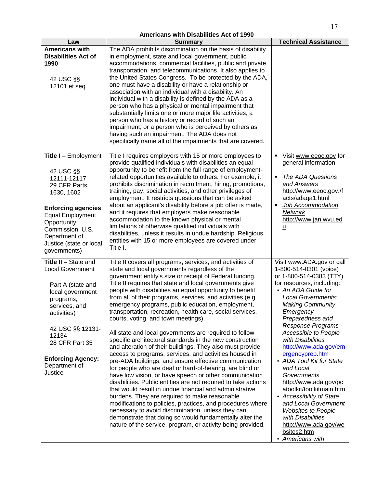# **Americans with Disabilities Act of 1990**

| Law                                                                                                                                                                                                                                            | Aniericans with Disabilities Act of 1990<br><b>Summary</b>                                                                                                                                                                                                                                                                                                                                                                                                                                                                                                                                                                                                                                                                                                                                                                                                                                                                                                                                                                                                                                                                                                                                                                                                                                                                                                                  | <b>Technical Assistance</b>                                                                                                                                                                                                                                                                                                                                                                                                                                                                                                                                                                                      |
|------------------------------------------------------------------------------------------------------------------------------------------------------------------------------------------------------------------------------------------------|-----------------------------------------------------------------------------------------------------------------------------------------------------------------------------------------------------------------------------------------------------------------------------------------------------------------------------------------------------------------------------------------------------------------------------------------------------------------------------------------------------------------------------------------------------------------------------------------------------------------------------------------------------------------------------------------------------------------------------------------------------------------------------------------------------------------------------------------------------------------------------------------------------------------------------------------------------------------------------------------------------------------------------------------------------------------------------------------------------------------------------------------------------------------------------------------------------------------------------------------------------------------------------------------------------------------------------------------------------------------------------|------------------------------------------------------------------------------------------------------------------------------------------------------------------------------------------------------------------------------------------------------------------------------------------------------------------------------------------------------------------------------------------------------------------------------------------------------------------------------------------------------------------------------------------------------------------------------------------------------------------|
| <b>Americans with</b><br><b>Disabilities Act of</b><br>1990<br>42 USC §§<br>12101 et seq.                                                                                                                                                      | The ADA prohibits discrimination on the basis of disability<br>in employment, state and local government, public<br>accommodations, commercial facilities, public and private<br>transportation, and telecommunications. It also applies to<br>the United States Congress. To be protected by the ADA,<br>one must have a disability or have a relationship or<br>association with an individual with a disability. An<br>individual with a disability is defined by the ADA as a<br>person who has a physical or mental impairment that<br>substantially limits one or more major life activities, a<br>person who has a history or record of such an<br>impairment, or a person who is perceived by others as<br>having such an impairment. The ADA does not<br>specifically name all of the impairments that are covered.                                                                                                                                                                                                                                                                                                                                                                                                                                                                                                                                                |                                                                                                                                                                                                                                                                                                                                                                                                                                                                                                                                                                                                                  |
| <b>Title I</b> $-$ Employment<br>42 USC §§<br>12111-12117<br>29 CFR Parts<br>1630, 1602<br><b>Enforcing agencies:</b><br>Equal Employment<br>Opportunity<br>Commission; U.S.<br>Department of<br>Justice (state or local<br>governments)       | Title I requires employers with 15 or more employees to<br>provide qualified individuals with disabilities an equal<br>opportunity to benefit from the full range of employment-<br>related opportunities available to others. For example, it<br>prohibits discrimination in recruitment, hiring, promotions,<br>training, pay, social activities, and other privileges of<br>employment. It restricts questions that can be asked<br>about an applicant's disability before a job offer is made,<br>and it requires that employers make reasonable<br>accommodation to the known physical or mental<br>limitations of otherwise qualified individuals with<br>disabilities, unless it results in undue hardship. Religious<br>entities with 15 or more employees are covered under<br>Title I.                                                                                                                                                                                                                                                                                                                                                                                                                                                                                                                                                                            | Visit www.eeoc.gov for<br>٠<br>general information<br><b>The ADA Questions</b><br>and Answers<br>http://www.eeoc.gov./f<br>acts/adaqa1.html<br>Job Accommodation<br><b>Network</b><br>http://www.jan.wvu.ed<br>$\underline{\mathsf{u}}$                                                                                                                                                                                                                                                                                                                                                                          |
| Title $II - State$ and<br><b>Local Government</b><br>Part A (state and<br>local government<br>programs,<br>services, and<br>activities)<br>42 USC §§ 12131-<br>12134<br>28 CFR Part 35<br><b>Enforcing Agency:</b><br>Department of<br>Justice | Title II covers all programs, services, and activities of<br>state and local governments regardless of the<br>government entity's size or receipt of Federal funding.<br>Title II requires that state and local governments give<br>people with disabilities an equal opportunity to benefit<br>from all of their programs, services, and activities (e.g.<br>emergency programs, public education, employment,<br>transportation, recreation, health care, social services,<br>courts, voting, and town meetings).<br>All state and local governments are required to follow<br>specific architectural standards in the new construction<br>and alteration of their buildings. They also must provide<br>access to programs, services, and activities housed in<br>pre-ADA buildings, and ensure effective communication<br>for people who are deaf or hard-of-hearing, are blind or<br>have low vision, or have speech or other communication<br>disabilities. Public entities are not required to take actions<br>that would result in undue financial and administrative<br>burdens. They are required to make reasonable<br>modifications to policies, practices, and procedures where<br>necessary to avoid discrimination, unless they can<br>demonstrate that doing so would fundamentally alter the<br>nature of the service, program, or activity being provided. | Visit www.ADA.gov or call<br>1-800-514-0301 (voice)<br>or 1-800-514-0383 (TTY)<br>for resources, including:<br>• An ADA Guide for<br>Local Governments:<br><b>Making Community</b><br>Emergency<br>Preparedness and<br>Response Programs<br>Accessible to People<br>with Disabilities<br>http://www.ada.gov/em<br>ergencyprep.htm<br>• ADA Tool Kit for State<br>and Local<br>Governments<br>http://www.ada.gov/pc<br>atoolkit/toolkitmain.htm<br>• Accessibility of State<br>and Local Government<br><b>Websites to People</b><br>with Disabilities<br>http://www.ada.gov/we<br>bsites2.htm<br>• Americans with |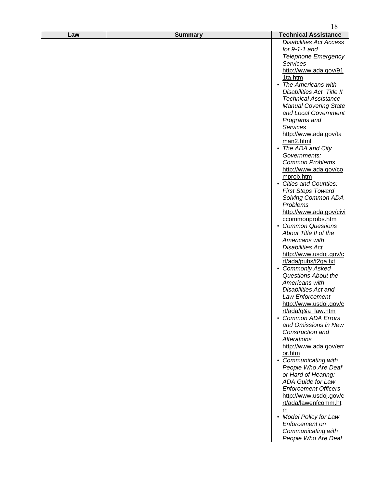|     |                | 18                                        |
|-----|----------------|-------------------------------------------|
| Law | <b>Summary</b> | <b>Technical Assistance</b>               |
|     |                | <b>Disabilities Act Access</b>            |
|     |                | for $9-1-1$ and                           |
|     |                | <b>Telephone Emergency</b>                |
|     |                | <b>Services</b>                           |
|     |                | http://www.ada.gov/91                     |
|     |                | 1ta.htm<br>• The Americans with           |
|     |                | <b>Disabilities Act Title II</b>          |
|     |                | <b>Technical Assistance</b>               |
|     |                | <b>Manual Covering State</b>              |
|     |                | and Local Government                      |
|     |                | Programs and                              |
|     |                | Services                                  |
|     |                | http://www.ada.gov/ta                     |
|     |                | man2.html                                 |
|     |                | • The ADA and City                        |
|     |                | Governments:                              |
|     |                | <b>Common Problems</b>                    |
|     |                | http://www.ada.gov/co                     |
|     |                | mprob.htm                                 |
|     |                | • Cities and Counties:                    |
|     |                | <b>First Steps Toward</b>                 |
|     |                | Solving Common ADA                        |
|     |                | Problems                                  |
|     |                | http://www.ada.gov/civi                   |
|     |                | ccommonprobs.htm                          |
|     |                | • Common Questions                        |
|     |                | About Title II of the                     |
|     |                | Americans with<br><b>Disabilities Act</b> |
|     |                | http://www.usdoj.gov/c                    |
|     |                | rt/ada/pubs/t2qa.txt                      |
|     |                | • Commonly Asked                          |
|     |                | Questions About the                       |
|     |                | Americans with                            |
|     |                | Disabilities Act and                      |
|     |                | Law Enforcement                           |
|     |                | http://www.usdoj.gov/c                    |
|     |                | rt/ada/q&a law.htm                        |
|     |                | • Common ADA Errors                       |
|     |                | and Omissions in New                      |
|     |                | Construction and                          |
|     |                | <b>Alterations</b>                        |
|     |                | http://www.ada.gov/err                    |
|     |                | or.htm<br>• Communicating with            |
|     |                | People Who Are Deaf                       |
|     |                | or Hard of Hearing:                       |
|     |                | <b>ADA Guide for Law</b>                  |
|     |                | <b>Enforcement Officers</b>               |
|     |                | http://www.usdoj.gov/c                    |
|     |                | rt/ada/lawenfcomm.ht                      |
|     |                | m                                         |
|     |                | • Model Policy for Law                    |
|     |                | Enforcement on                            |
|     |                | Communicating with                        |
|     |                | People Who Are Deaf                       |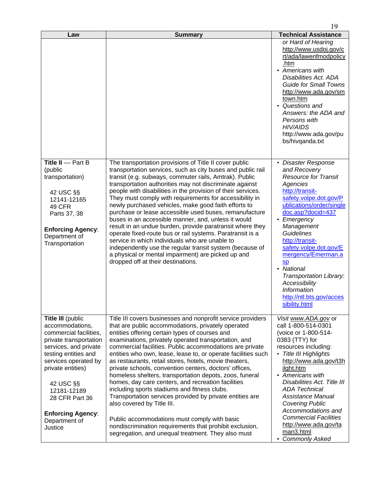|                                                                                                                                                                                                                                      |                                                                                                                                                                                                                                                                                                                                                                                                                                                                                                                                                                                                                                                                                                                                                                                                                                                                                    | 19                                                                                                                                                                                                                                                                                                                                                                                                                                 |
|--------------------------------------------------------------------------------------------------------------------------------------------------------------------------------------------------------------------------------------|------------------------------------------------------------------------------------------------------------------------------------------------------------------------------------------------------------------------------------------------------------------------------------------------------------------------------------------------------------------------------------------------------------------------------------------------------------------------------------------------------------------------------------------------------------------------------------------------------------------------------------------------------------------------------------------------------------------------------------------------------------------------------------------------------------------------------------------------------------------------------------|------------------------------------------------------------------------------------------------------------------------------------------------------------------------------------------------------------------------------------------------------------------------------------------------------------------------------------------------------------------------------------------------------------------------------------|
| Law                                                                                                                                                                                                                                  | <b>Summary</b>                                                                                                                                                                                                                                                                                                                                                                                                                                                                                                                                                                                                                                                                                                                                                                                                                                                                     | <b>Technical Assistance</b>                                                                                                                                                                                                                                                                                                                                                                                                        |
|                                                                                                                                                                                                                                      |                                                                                                                                                                                                                                                                                                                                                                                                                                                                                                                                                                                                                                                                                                                                                                                                                                                                                    | or Hard of Hearing<br>http://www.usdoj.gov/c<br>rt/ada/lawenfmodpolicy<br>.htm<br>• Americans with<br>Disabilities Act. ADA<br><b>Guide for Small Towns</b><br>http://www.ada.gov/sm<br>town.htm<br>Questions and<br>Answers: the ADA and<br>Persons with<br><b>HIV/AIDS</b><br>http://www.ada.gov/pu<br>bs/hivqanda.txt                                                                                                           |
| Title II - Part B<br>(public<br>transportation)<br>42 USC §§<br>12141-12165<br>49 CFR<br>Parts 37, 38<br><b>Enforcing Agency:</b><br>Department of<br>Transportation                                                                 | The transportation provisions of Title II cover public<br>transportation services, such as city buses and public rail<br>transit (e.g. subways, commuter rails, Amtrak). Public<br>transportation authorities may not discriminate against<br>people with disabilities in the provision of their services.<br>They must comply with requirements for accessibility in<br>newly purchased vehicles, make good faith efforts to<br>purchase or lease accessible used buses, remanufacture<br>buses in an accessible manner, and, unless it would<br>result in an undue burden, provide paratransit where they<br>operate fixed-route bus or rail systems. Paratransit is a<br>service in which individuals who are unable to<br>independently use the regular transit system (because of<br>a physical or mental impairment) are picked up and<br>dropped off at their destinations. | • Disaster Response<br>and Recovery<br><b>Resource for Transit</b><br>Agencies<br>http://transit-<br>safety.volpe.dot.gov/P<br>ublications/order/single<br>doc.asp?docid=437<br>Emergency<br>Management<br><b>Guidelines</b><br>http://transit-<br>safety.volpe.dot.gov/E<br>mergency/Emerman.a<br>SD<br>• National<br>Transportation Library:<br>Accessibility<br><b>Information</b><br>http://ntl.bts.gov/acces<br>sibility.html |
| Title III (public<br>accommodations,<br>commercial facilities,<br>private transportation<br>services, and private<br>testing entities and<br>services operated by<br>private entities)<br>42 USC §§<br>12181-12189<br>28 CFR Part 36 | Title III covers businesses and nonprofit service providers<br>that are public accommodations, privately operated<br>entities offering certain types of courses and<br>examinations, privately operated transportation, and<br>commercial facilities. Public accommodations are private<br>entities who own, lease, lease to, or operate facilities such<br>as restaurants, retail stores, hotels, movie theaters,<br>private schools, convention centers, doctors' offices,<br>homeless shelters, transportation depots, zoos, funeral<br>homes, day care centers, and recreation facilities<br>including sports stadiums and fitness clubs.<br>Transportation services provided by private entities are<br>also covered by Title III.                                                                                                                                            | Visit www.ADA.gov or<br>call 1-800-514-0301<br>(voice or 1-800-514-<br>0383 (TTY) for<br>resources including:<br>• Title III Highlights<br>http://www.ada.gov/t3h<br>ilght.htm<br>• Americans with<br>Disabilities Act. Title III<br><b>ADA Technical</b><br>Assistance Manual<br><b>Covering Public</b><br>Accommodations and                                                                                                     |
| <b>Enforcing Agency:</b><br>Department of<br>Justice                                                                                                                                                                                 | Public accommodations must comply with basic<br>nondiscrimination requirements that prohibit exclusion,<br>segregation, and unequal treatment. They also must                                                                                                                                                                                                                                                                                                                                                                                                                                                                                                                                                                                                                                                                                                                      | <b>Commercial Facilities</b><br>http://www.ada.gov/ta<br>man3.html<br><b>Commonly Asked</b>                                                                                                                                                                                                                                                                                                                                        |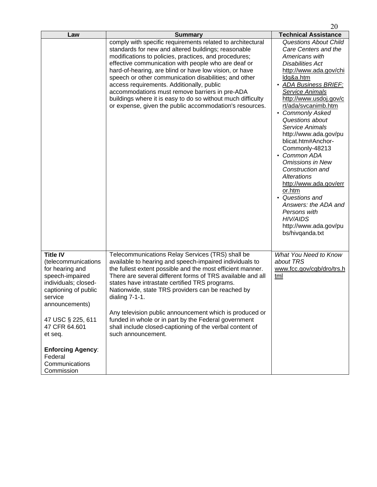| Law                                                                                                                                                                                                                                                                 | <b>Summary</b>                                                                                                                                                                                                                                                                                                                                                                                                                                                                                                                                                                | <b>Technical Assistance</b>                                                                                                                                                                                                                                                                                                                                                                                                                                                                                                                                                                                            |
|---------------------------------------------------------------------------------------------------------------------------------------------------------------------------------------------------------------------------------------------------------------------|-------------------------------------------------------------------------------------------------------------------------------------------------------------------------------------------------------------------------------------------------------------------------------------------------------------------------------------------------------------------------------------------------------------------------------------------------------------------------------------------------------------------------------------------------------------------------------|------------------------------------------------------------------------------------------------------------------------------------------------------------------------------------------------------------------------------------------------------------------------------------------------------------------------------------------------------------------------------------------------------------------------------------------------------------------------------------------------------------------------------------------------------------------------------------------------------------------------|
|                                                                                                                                                                                                                                                                     | comply with specific requirements related to architectural<br>standards for new and altered buildings; reasonable<br>modifications to policies, practices, and procedures;<br>effective communication with people who are deaf or<br>hard-of-hearing, are blind or have low vision, or have<br>speech or other communication disabilities; and other<br>access requirements. Additionally, public<br>accommodations must remove barriers in pre-ADA<br>buildings where it is easy to do so without much difficulty<br>or expense, given the public accommodation's resources. | <b>Questions About Child</b><br>Care Centers and the<br>Americans with<br><b>Disabilities Act</b><br>http://www.ada.gov/chi<br>ldg&a.htm<br><b>ADA Business BRIEF:</b><br>Service Animals<br>http://www.usdoj.gov/c<br>rt/ada/svcanimb.htm<br>• Commonly Asked<br>Questions about<br>Service Animals<br>http://www.ada.gov/pu<br>blicat.htm#Anchor-<br>Commonly-48213<br>Common ADA<br><b>Omissions in New</b><br>Construction and<br><b>Alterations</b><br>http://www.ada.gov/err<br>or.htm<br>• Questions and<br>Answers: the ADA and<br>Persons with<br><b>HIV/AIDS</b><br>http://www.ada.gov/pu<br>bs/hivqanda.txt |
| <b>Title IV</b><br>(telecommunications<br>for hearing and<br>speech-impaired<br>individuals; closed-<br>captioning of public<br>service<br>announcements)<br>47 USC § 225, 611<br>47 CFR 64.601<br>et seq.<br><b>Enforcing Agency:</b><br>Federal<br>Communications | Telecommunications Relay Services (TRS) shall be<br>available to hearing and speech-impaired individuals to<br>the fullest extent possible and the most efficient manner.<br>There are several different forms of TRS available and all<br>states have intrastate certified TRS programs.<br>Nationwide, state TRS providers can be reached by<br>dialing $7-1-1$ .<br>Any television public announcement which is produced or<br>funded in whole or in part by the Federal government<br>shall include closed-captioning of the verbal content of<br>such announcement.      | What You Need to Know<br>about TRS<br>www.fcc.gov/cgb/dro/trs.h<br>tml                                                                                                                                                                                                                                                                                                                                                                                                                                                                                                                                                 |
| Commission                                                                                                                                                                                                                                                          |                                                                                                                                                                                                                                                                                                                                                                                                                                                                                                                                                                               |                                                                                                                                                                                                                                                                                                                                                                                                                                                                                                                                                                                                                        |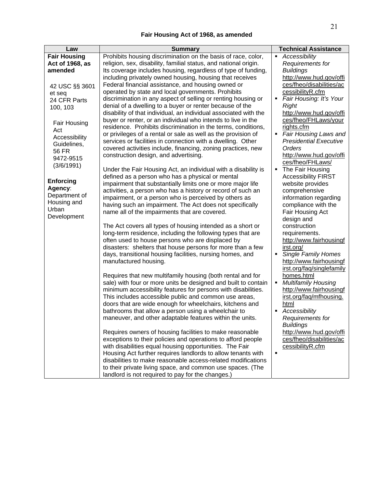# **Fair Housing Act of 1968, as amended**

| Law                 | <b>Summary</b>                                                   | <b>Technical Assistance</b>     |
|---------------------|------------------------------------------------------------------|---------------------------------|
| <b>Fair Housing</b> | Prohibits housing discrimination on the basis of race, color,    | Accessibility<br>٠              |
| Act of 1968, as     | religion, sex, disability, familial status, and national origin. | Requirements for                |
| amended             | Its coverage includes housing, regardless of type of funding,    | <b>Buildings</b>                |
|                     | including privately owned housing, housing that receives         | http://www.hud.gov/offi         |
| 42 USC §§ 3601      | Federal financial assistance, and housing owned or               | ces/fheo/disabilities/ac        |
| et seq              | operated by state and local governments. Prohibits               | cessibilityR.cfm                |
| 24 CFR Parts        | discrimination in any aspect of selling or renting housing or    | Fair Housing: It's Your<br>٠    |
| 100, 103            | denial of a dwelling to a buyer or renter because of the         | <b>Right</b>                    |
|                     | disability of that individual, an individual associated with the | http://www.hud.gov/offi         |
| <b>Fair Housing</b> | buyer or renter, or an individual who intends to live in the     | ces/fheo/FHLaws/your            |
| Act                 | residence. Prohibits discrimination in the terms, conditions,    | rights.cfm                      |
| Accessibility       | or privileges of a rental or sale as well as the provision of    | Fair Housing Laws and<br>Ξ      |
| Guidelines,         | services or facilities in connection with a dwelling. Other      | <b>Presidential Executive</b>   |
| 56 FR               | covered activities include, financing, zoning practices, new     | Orders                          |
| 9472-9515           | construction design, and advertising.                            | http://www.hud.gov/offi         |
| (3/6/1991)          |                                                                  | ces/fheo/FHLaws/                |
|                     | Under the Fair Housing Act, an individual with a disability is   | The Fair Housing<br>٠           |
|                     | defined as a person who has a physical or mental                 | <b>Accessibility FIRST</b>      |
| <b>Enforcing</b>    | impairment that substantially limits one or more major life      | website provides                |
| Agency:             | activities, a person who has a history or record of such an      | comprehensive                   |
| Department of       | impairment, or a person who is perceived by others as            | information regarding           |
| Housing and         | having such an impairment. The Act does not specifically         | compliance with the             |
| Urban               | name all of the impairments that are covered.                    | Fair Housing Act                |
| Development         |                                                                  | design and                      |
|                     | The Act covers all types of housing intended as a short or       | construction                    |
|                     | long-term residence, including the following types that are      | requirements.                   |
|                     | often used to house persons who are displaced by                 | http://www.fairhousingf         |
|                     | disasters: shelters that house persons for more than a few       | irst.org/                       |
|                     | days, transitional housing facilities, nursing homes, and        | <b>Single Family Homes</b><br>٠ |
|                     | manufactured housing.                                            | http://www.fairhousingf         |
|                     |                                                                  | irst.org/fag/singlefamily       |
|                     | Requires that new multifamily housing (both rental and for       | homes.html                      |
|                     | sale) with four or more units be designed and built to contain   | <b>Multifamily Housing</b><br>٠ |
|                     | minimum accessibility features for persons with disabilities.    | http://www.fairhousingf         |
|                     | This includes accessible public and common use areas,            | irst.org/fag/mfhousing.         |
|                     | doors that are wide enough for wheelchairs, kitchens and         | html                            |
|                     | bathrooms that allow a person using a wheelchair to              | Accessibility<br>٠              |
|                     | maneuver, and other adaptable features within the units.         | Requirements for                |
|                     |                                                                  | <b>Buildings</b>                |
|                     | Requires owners of housing facilities to make reasonable         | http://www.hud.gov/offi         |
|                     | exceptions to their policies and operations to afford people     | ces/fheo/disabilities/ac        |
|                     | with disabilities equal housing opportunities. The Fair          | cessibilityR.cfm                |
|                     | Housing Act further requires landlords to allow tenants with     | П                               |
|                     | disabilities to make reasonable access-related modifications     |                                 |
|                     | to their private living space, and common use spaces. (The       |                                 |
|                     | landlord is not required to pay for the changes.)                |                                 |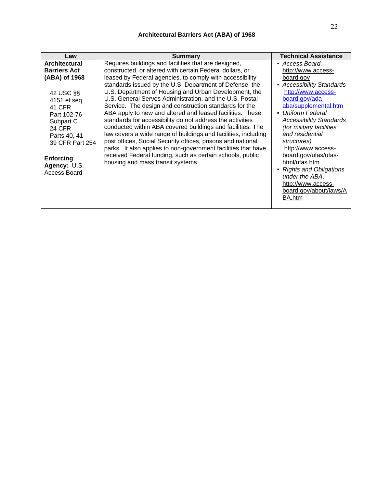| <b>Architectural</b><br>Requires buildings and facilities that are designed,<br>• Access Board.<br>constructed, or altered with certain Federal dollars, or<br><b>Barriers Act</b>                                                                                                                                                                                                                                                                                                                                                                                                                                                                                                                                                                                                                                                                                                                                                                                                                                                                                                                                                                                                                                                                                                                                                                                                                                                 |
|------------------------------------------------------------------------------------------------------------------------------------------------------------------------------------------------------------------------------------------------------------------------------------------------------------------------------------------------------------------------------------------------------------------------------------------------------------------------------------------------------------------------------------------------------------------------------------------------------------------------------------------------------------------------------------------------------------------------------------------------------------------------------------------------------------------------------------------------------------------------------------------------------------------------------------------------------------------------------------------------------------------------------------------------------------------------------------------------------------------------------------------------------------------------------------------------------------------------------------------------------------------------------------------------------------------------------------------------------------------------------------------------------------------------------------|
| http://www.access-<br>leased by Federal agencies, to comply with accessibility<br>(ABA) of 1968<br>board.gov<br>standards issued by the U.S. Department of Defense, the<br>• Accessibility Standards<br>U.S. Department of Housing and Urban Development, the<br>http://www.access-<br>42 USC §§<br>U.S. General Serves Administration, and the U.S. Postal<br>board.gov/ada-<br>4151 et seq<br>Service. The design and construction standards for the<br>aba/supplemental.htm<br><b>41 CFR</b><br>ABA apply to new and altered and leased facilities. These<br>• Uniform Federal<br>Part 102-76<br>standards for accessibility do not address the activities<br><b>Accessibility Standards</b><br>Subpart C<br>(for military facilities<br>conducted within ABA covered buildings and facilities. The<br><b>24 CFR</b><br>law covers a wide range of buildings and facilities, including<br>and residential<br>Parts 40, 41<br>post offices, Social Security offices, prisons and national<br>structures)<br>39 CFR Part 254<br>parks. It also applies to non-government facilities that have<br>http://www.access-<br>received Federal funding, such as certain schools, public<br>board.gov/ufas/ufas-<br><b>Enforcing</b><br>html/ufas.htm<br>housing and mass transit systems.<br>Agency: U.S.<br>• Rights and Obligations<br><b>Access Board</b><br>under the ABA.<br>http://www.access-<br>board.gov/about/laws/A<br>BA.htm |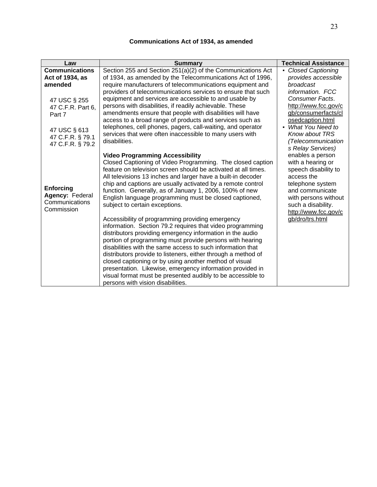# **Communications Act of 1934, as amended**

| Law                    | <b>Summary</b>                                                            | <b>Technical Assistance</b>             |
|------------------------|---------------------------------------------------------------------------|-----------------------------------------|
| <b>Communications</b>  | Section 255 and Section 251(a)(2) of the Communications Act               | • Closed Captioning                     |
| Act of 1934, as        | of 1934, as amended by the Telecommunications Act of 1996,                | provides accessible                     |
| amended                | require manufacturers of telecommunications equipment and                 | broadcast                               |
|                        | providers of telecommunications services to ensure that such              | information. FCC                        |
| 47 USC § 255           | equipment and services are accessible to and usable by                    | Consumer Facts.                         |
| 47 C.F.R. Part 6,      | persons with disabilities, if readily achievable. These                   | http://www.fcc.gov/c                    |
| Part 7                 | amendments ensure that people with disabilities will have                 | gb/consumerfacts/cl                     |
|                        | access to a broad range of products and services such as                  | osedcaption.html                        |
| 47 USC § 613           | telephones, cell phones, pagers, call-waiting, and operator               | What You Need to                        |
| 47 C.F.R. § 79.1       | services that were often inaccessible to many users with<br>disabilities. | <b>Know about TRS</b>                   |
| 47 C.F.R. § 79.2       |                                                                           | (Telecommunication<br>s Relay Services) |
|                        | <b>Video Programming Accessibility</b>                                    | enables a person                        |
|                        | Closed Captioning of Video Programming. The closed caption                | with a hearing or                       |
|                        | feature on television screen should be activated at all times.            | speech disability to                    |
|                        | All televisions 13 inches and larger have a built-in decoder              | access the                              |
|                        | chip and captions are usually activated by a remote control               | telephone system                        |
| <b>Enforcing</b>       | function. Generally, as of January 1, 2006, 100% of new                   | and communicate                         |
| <b>Agency: Federal</b> | English language programming must be closed captioned,                    | with persons without                    |
| Communications         | subject to certain exceptions.                                            | such a disability.                      |
| Commission             |                                                                           | http://www.fcc.gov/c                    |
|                        | Accessibility of programming providing emergency                          | gb/dro/trs.html                         |
|                        | information. Section 79.2 requires that video programming                 |                                         |
|                        | distributors providing emergency information in the audio                 |                                         |
|                        | portion of programming must provide persons with hearing                  |                                         |
|                        | disabilities with the same access to such information that                |                                         |
|                        | distributors provide to listeners, either through a method of             |                                         |
|                        | closed captioning or by using another method of visual                    |                                         |
|                        | presentation. Likewise, emergency information provided in                 |                                         |
|                        | visual format must be presented audibly to be accessible to               |                                         |
|                        | persons with vision disabilities.                                         |                                         |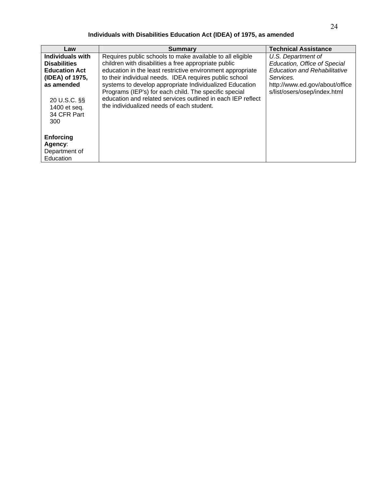# **Individuals with Disabilities Education Act (IDEA) of 1975, as amended**

| Law                                                       | Summarv                                                                                                          | <b>Technical Assistance</b>                                    |
|-----------------------------------------------------------|------------------------------------------------------------------------------------------------------------------|----------------------------------------------------------------|
| Individuals with                                          | Requires public schools to make available to all eligible                                                        | U.S. Department of                                             |
| <b>Disabilities</b>                                       | children with disabilities a free appropriate public                                                             | Education, Office of Special                                   |
| <b>Education Act</b>                                      | education in the least restrictive environment appropriate                                                       | <b>Education and Rehabilitative</b>                            |
| (IDEA) of 1975,                                           | to their individual needs. IDEA requires public school                                                           | Services.                                                      |
| as amended                                                | systems to develop appropriate Individualized Education<br>Programs (IEP's) for each child. The specific special | http://www.ed.gov/about/office<br>s/list/osers/osep/index.html |
| 20 U.S.C. §§<br>1400 et seq.<br>34 CFR Part<br>300        | education and related services outlined in each IEP reflect<br>the individualized needs of each student.         |                                                                |
| <b>Enforcing</b><br>Agency:<br>Department of<br>Education |                                                                                                                  |                                                                |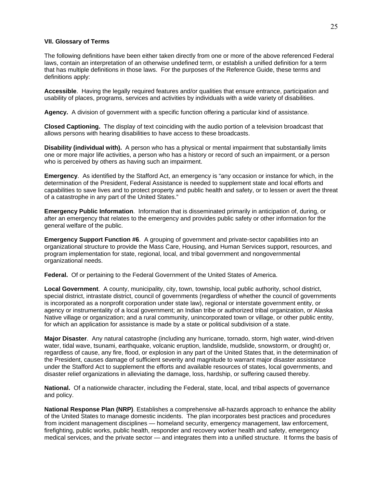#### **VII. Glossary of Terms**

The following definitions have been either taken directly from one or more of the above referenced Federal laws, contain an interpretation of an otherwise undefined term, or establish a unified definition for a term that has multiple definitions in those laws. For the purposes of the Reference Guide, these terms and definitions apply:

**Accessible**. Having the legally required features and/or qualities that ensure entrance, participation and usability of places, programs, services and activities by individuals with a wide variety of disabilities.

**Agency.** A division of government with a specific function offering a particular kind of assistance.

**Closed Captioning.** The display of text coinciding with the audio portion of a television broadcast that allows persons with hearing disabilities to have access to these broadcasts.

**Disability (individual with).** A person who has a physical or mental impairment that substantially limits one or more major life activities, a person who has a history or record of such an impairment, or a person who is perceived by others as having such an impairment.

**Emergency**. As identified by the Stafford Act, an emergency is "any occasion or instance for which, in the determination of the President, Federal Assistance is needed to supplement state and local efforts and capabilities to save lives and to protect property and public health and safety, or to lessen or avert the threat of a catastrophe in any part of the United States."

**Emergency Public Information**. Information that is disseminated primarily in anticipation of, during, or after an emergency that relates to the emergency and provides public safety or other information for the general welfare of the public.

**Emergency Support Function #6**. A grouping of government and private-sector capabilities into an organizational structure to provide the Mass Care, Housing, and Human Services support, resources, and program implementation for state, regional, local, and tribal government and nongovernmental organizational needs.

**Federal.** Of or pertaining to the Federal Government of the United States of America.

**Local Government**. A county, municipality, city, town, township, local public authority, school district, special district, intrastate district, council of governments (regardless of whether the council of governments is incorporated as a nonprofit corporation under state law), regional or interstate government entity, or agency or instrumentality of a local government; an Indian tribe or authorized tribal organization, or Alaska Native village or organization; and a rural community, unincorporated town or village, or other public entity, for which an application for assistance is made by a state or political subdivision of a state.

**Major Disaster**. Any natural catastrophe (including any hurricane, tornado, storm, high water, wind-driven water, tidal wave, tsunami, earthquake, volcanic eruption, landslide, mudslide, snowstorm, or drought) or, regardless of cause, any fire, flood, or explosion in any part of the United States that, in the determination of the President, causes damage of sufficient severity and magnitude to warrant major disaster assistance under the Stafford Act to supplement the efforts and available resources of states, local governments, and disaster relief organizations in alleviating the damage, loss, hardship, or suffering caused thereby.

**National.** Of a nationwide character, including the Federal, state, local, and tribal aspects of governance and policy.

**National Response Plan (NRP)**. Establishes a comprehensive all-hazards approach to enhance the ability of the United States to manage domestic incidents. The plan incorporates best practices and procedures from incident management disciplines — homeland security, emergency management, law enforcement, firefighting, public works, public health, responder and recovery worker health and safety, emergency medical services, and the private sector — and integrates them into a unified structure. It forms the basis of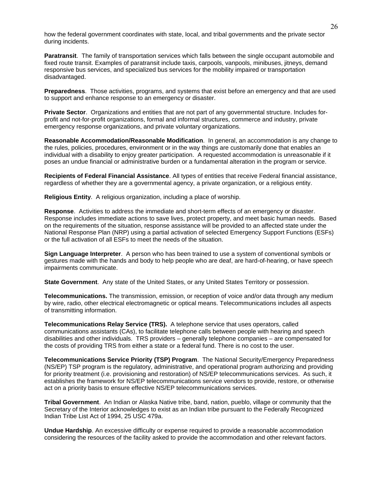how the federal government coordinates with state, local, and tribal governments and the private sector during incidents.

**Paratransit**. The family of transportation services which falls between the single occupant automobile and fixed route transit. Examples of paratransit include taxis, carpools, vanpools, minibuses, jitneys, demand responsive bus services, and specialized bus services for the mobility impaired or transportation disadvantaged.

**Preparedness**. Those activities, programs, and systems that exist before an emergency and that are used to support and enhance response to an emergency or disaster.

**Private Sector**. Organizations and entities that are not part of any governmental structure. Includes forprofit and not-for-profit organizations, formal and informal structures, commerce and industry, private emergency response organizations, and private voluntary organizations.

**Reasonable Accommodation/Reasonable Modification**. In general, an accommodation is any change to the rules, policies, procedures, environment or in the way things are customarily done that enables an individual with a disability to enjoy greater participation. A requested accommodation is unreasonable if it poses an undue financial or administrative burden or a fundamental alteration in the program or service.

**Recipients of Federal Financial Assistance**. All types of entities that receive Federal financial assistance, regardless of whether they are a governmental agency, a private organization, or a religious entity.

**Religious Entity**. A religious organization, including a place of worship.

**Response**. Activities to address the immediate and short-term effects of an emergency or disaster. Response includes immediate actions to save lives, protect property, and meet basic human needs. Based on the requirements of the situation, response assistance will be provided to an affected state under the National Response Plan (NRP) using a partial activation of selected Emergency Support Functions (ESFs) or the full activation of all ESFs to meet the needs of the situation.

**Sign Language Interpreter**. A person who has been trained to use a system of conventional symbols or gestures made with the hands and body to help people who are deaf, are hard-of-hearing, or have speech impairments communicate.

**State Government**. Any state of the United States, or any United States Territory or possession.

**Telecommunications.** The transmission, emission, or reception of voice and/or data through any medium by wire, radio, other electrical electromagnetic or optical means. Telecommunications includes all aspects of transmitting information.

**Telecommunications Relay Service (TRS).** A telephone service that uses operators, called communications assistants (CAs), to facilitate telephone calls between people with hearing and speech disabilities and other individuals. TRS providers – generally telephone companies – are compensated for the costs of providing TRS from either a state or a federal fund. There is no cost to the user.

**Telecommunications Service Priority (TSP) Program**. The National Security/Emergency Preparedness (NS/EP) TSP program is the regulatory, administrative, and operational program authorizing and providing for priority treatment (i.e. provisioning and restoration) of NS/EP telecommunications services. As such, it establishes the framework for NS/EP telecommunications service vendors to provide, restore, or otherwise act on a priority basis to ensure effective NS/EP telecommunications services.

**Tribal Government**. An Indian or Alaska Native tribe, band, nation, pueblo, village or community that the Secretary of the Interior acknowledges to exist as an Indian tribe pursuant to the Federally Recognized Indian Tribe List Act of 1994, 25 USC 479a.

**Undue Hardship**. An excessive difficulty or expense required to provide a reasonable accommodation considering the resources of the facility asked to provide the accommodation and other relevant factors.